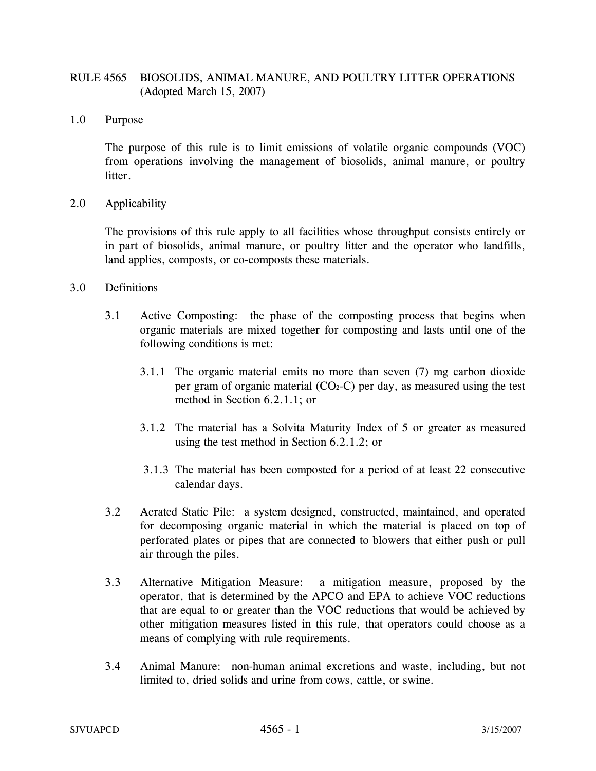# RULE 4565 BIOSOLIDS, ANIMAL MANURE, AND POULTRY LITTER OPERATIONS (Adopted March 15, 2007)

1.0 Purpose

The purpose of this rule is to limit emissions of volatile organic compounds (VOC) from operations involving the management of biosolids, animal manure, or poultry litter.

2.0 Applicability

The provisions of this rule apply to all facilities whose throughput consists entirely or in part of biosolids, animal manure, or poultry litter and the operator who landfills, land applies, composts, or co-composts these materials.

- 3.0 Definitions
	- 3.1 Active Composting: the phase of the composting process that begins when organic materials are mixed together for composting and lasts until one of the following conditions is met:
		- 3.1.1 The organic material emits no more than seven (7) mg carbon dioxide per gram of organic material  $(CO<sub>2</sub>-C)$  per day, as measured using the test method in Section 6.2.1.1; or
		- 3.1.2 The material has a Solvita Maturity Index of 5 or greater as measured using the test method in Section 6.2.1.2; or
		- 3.1.3 The material has been composted for a period of at least 22 consecutive calendar days.
	- 3.2 Aerated Static Pile: a system designed, constructed, maintained, and operated for decomposing organic material in which the material is placed on top of perforated plates or pipes that are connected to blowers that either push or pull air through the piles.
	- 3.3 Alternative Mitigation Measure: a mitigation measure, proposed by the operator, that is determined by the APCO and EPA to achieve VOC reductions that are equal to or greater than the VOC reductions that would be achieved by other mitigation measures listed in this rule, that operators could choose as a means of complying with rule requirements.
	- 3.4 Animal Manure: non-human animal excretions and waste, including, but not limited to, dried solids and urine from cows, cattle, or swine.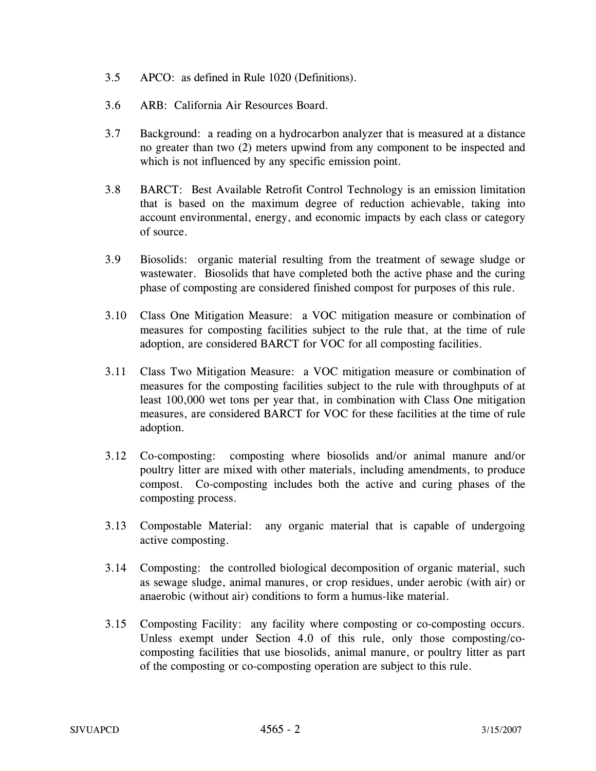- 3.5 APCO: as defined in Rule 1020 (Definitions).
- 3.6 ARB: California Air Resources Board.
- 3.7 Background: a reading on a hydrocarbon analyzer that is measured at a distance no greater than two (2) meters upwind from any component to be inspected and which is not influenced by any specific emission point.
- 3.8 BARCT: Best Available Retrofit Control Technology is an emission limitation that is based on the maximum degree of reduction achievable, taking into account environmental, energy, and economic impacts by each class or category of source.
- 3.9 Biosolids: organic material resulting from the treatment of sewage sludge or wastewater. Biosolids that have completed both the active phase and the curing phase of composting are considered finished compost for purposes of this rule.
- 3.10 Class One Mitigation Measure: a VOC mitigation measure or combination of measures for composting facilities subject to the rule that, at the time of rule adoption, are considered BARCT for VOC for all composting facilities.
- 3.11 Class Two Mitigation Measure: a VOC mitigation measure or combination of measures for the composting facilities subject to the rule with throughputs of at least 100,000 wet tons per year that, in combination with Class One mitigation measures, are considered BARCT for VOC for these facilities at the time of rule adoption.
- 3.12 Co-composting: composting where biosolids and/or animal manure and/or poultry litter are mixed with other materials, including amendments, to produce compost. Co-composting includes both the active and curing phases of the composting process.
- 3.13 Compostable Material: any organic material that is capable of undergoing active composting.
- 3.14 Composting: the controlled biological decomposition of organic material, such as sewage sludge, animal manures, or crop residues, under aerobic (with air) or anaerobic (without air) conditions to form a humus-like material.
- 3.15 Composting Facility: any facility where composting or co-composting occurs. Unless exempt under Section 4.0 of this rule, only those composting/cocomposting facilities that use biosolids, animal manure, or poultry litter as part of the composting or co-composting operation are subject to this rule.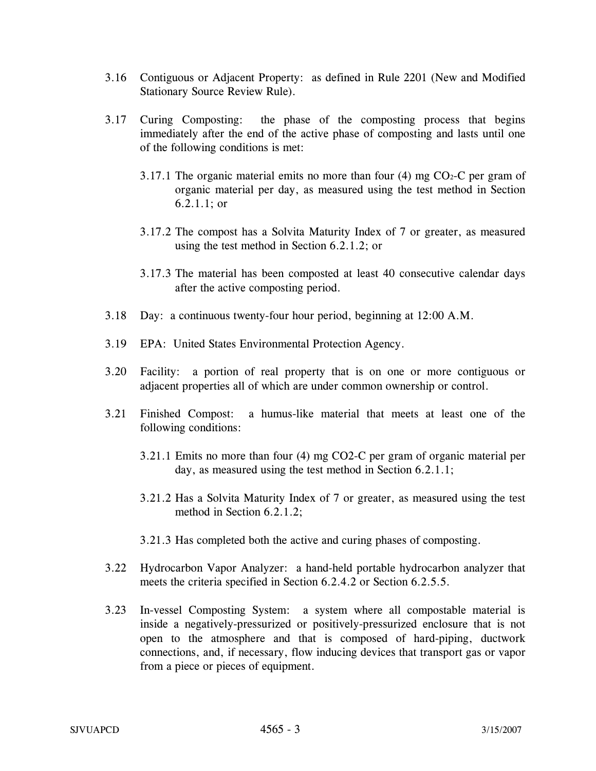- 3.16 Contiguous or Adjacent Property: as defined in Rule 2201 (New and Modified Stationary Source Review Rule).
- 3.17 Curing Composting: the phase of the composting process that begins immediately after the end of the active phase of composting and lasts until one of the following conditions is met:
	- 3.17.1 The organic material emits no more than four  $(4)$  mg CO<sub>2</sub>-C per gram of organic material per day, as measured using the test method in Section 6.2.1.1; or
	- 3.17.2 The compost has a Solvita Maturity Index of 7 or greater, as measured using the test method in Section 6.2.1.2; or
	- 3.17.3 The material has been composted at least 40 consecutive calendar days after the active composting period.
- 3.18 Day: a continuous twenty-four hour period, beginning at 12:00 A.M.
- 3.19 EPA: United States Environmental Protection Agency.
- 3.20 Facility: a portion of real property that is on one or more contiguous or adjacent properties all of which are under common ownership or control.
- 3.21 Finished Compost: a humus-like material that meets at least one of the following conditions:
	- 3.21.1 Emits no more than four (4) mg CO2-C per gram of organic material per day, as measured using the test method in Section 6.2.1.1;
	- 3.21.2 Has a Solvita Maturity Index of 7 or greater, as measured using the test method in Section 6.2.1.2;
	- 3.21.3 Has completed both the active and curing phases of composting.
- 3.22 Hydrocarbon Vapor Analyzer: a hand-held portable hydrocarbon analyzer that meets the criteria specified in Section 6.2.4.2 or Section 6.2.5.5.
- 3.23 In-vessel Composting System: a system where all compostable material is inside a negatively-pressurized or positively-pressurized enclosure that is not open to the atmosphere and that is composed of hard-piping, ductwork connections, and, if necessary, flow inducing devices that transport gas or vapor from a piece or pieces of equipment.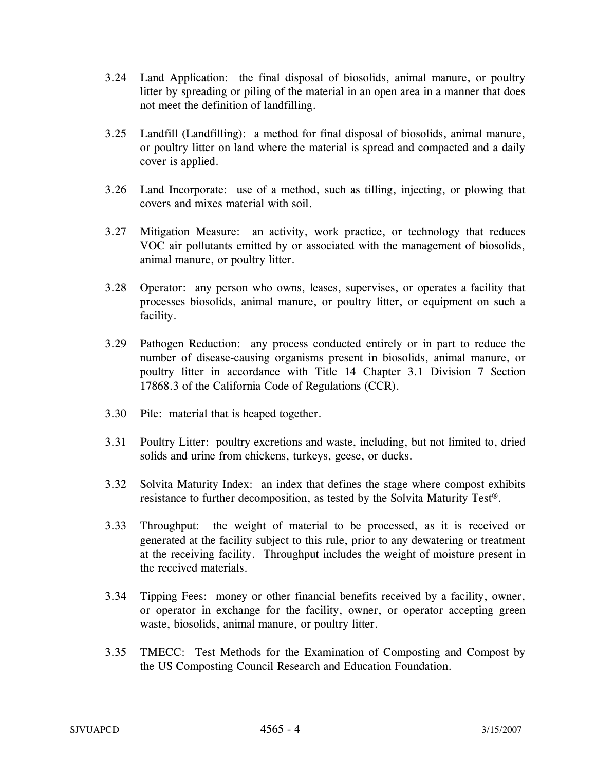- 3.24 Land Application: the final disposal of biosolids, animal manure, or poultry litter by spreading or piling of the material in an open area in a manner that does not meet the definition of landfilling.
- 3.25 Landfill (Landfilling): a method for final disposal of biosolids, animal manure, or poultry litter on land where the material is spread and compacted and a daily cover is applied.
- 3.26 Land Incorporate: use of a method, such as tilling, injecting, or plowing that covers and mixes material with soil.
- 3.27 Mitigation Measure: an activity, work practice, or technology that reduces VOC air pollutants emitted by or associated with the management of biosolids, animal manure, or poultry litter.
- 3.28 Operator: any person who owns, leases, supervises, or operates a facility that processes biosolids, animal manure, or poultry litter, or equipment on such a facility.
- 3.29 Pathogen Reduction: any process conducted entirely or in part to reduce the number of disease-causing organisms present in biosolids, animal manure, or poultry litter in accordance with Title 14 Chapter 3.1 Division 7 Section 17868.3 of the California Code of Regulations (CCR).
- 3.30 Pile: material that is heaped together.
- 3.31 Poultry Litter: poultry excretions and waste, including, but not limited to, dried solids and urine from chickens, turkeys, geese, or ducks.
- 3.32 Solvita Maturity Index: an index that defines the stage where compost exhibits resistance to further decomposition, as tested by the Solvita Maturity Test®.
- 3.33 Throughput: the weight of material to be processed, as it is received or generated at the facility subject to this rule, prior to any dewatering or treatment at the receiving facility. Throughput includes the weight of moisture present in the received materials.
- 3.34 Tipping Fees: money or other financial benefits received by a facility, owner, or operator in exchange for the facility, owner, or operator accepting green waste, biosolids, animal manure, or poultry litter.
- 3.35 TMECC: Test Methods for the Examination of Composting and Compost by the US Composting Council Research and Education Foundation.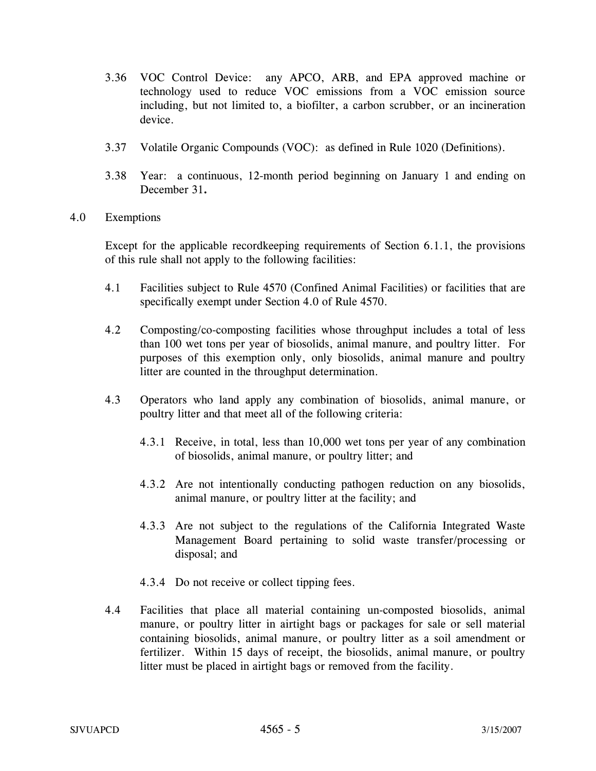- 3.36 VOC Control Device: any APCO, ARB, and EPA approved machine or technology used to reduce VOC emissions from a VOC emission source including, but not limited to, a biofilter, a carbon scrubber, or an incineration device.
- 3.37 Volatile Organic Compounds (VOC): as defined in Rule 1020 (Definitions).
- 3.38 Year: a continuous, 12-month period beginning on January 1 and ending on December 31**.**
- 4.0 Exemptions

Except for the applicable recordkeeping requirements of Section 6.1.1, the provisions of this rule shall not apply to the following facilities:

- 4.1 Facilities subject to Rule 4570 (Confined Animal Facilities) or facilities that are specifically exempt under Section 4.0 of Rule 4570.
- 4.2 Composting/co-composting facilities whose throughput includes a total of less than 100 wet tons per year of biosolids, animal manure, and poultry litter. For purposes of this exemption only, only biosolids, animal manure and poultry litter are counted in the throughput determination.
- 4.3 Operators who land apply any combination of biosolids, animal manure, or poultry litter and that meet all of the following criteria:
	- 4.3.1 Receive, in total, less than 10,000 wet tons per year of any combination of biosolids, animal manure, or poultry litter; and
	- 4.3.2 Are not intentionally conducting pathogen reduction on any biosolids, animal manure, or poultry litter at the facility; and
	- 4.3.3 Are not subject to the regulations of the California Integrated Waste Management Board pertaining to solid waste transfer/processing or disposal; and
	- 4.3.4 Do not receive or collect tipping fees.
- 4.4 Facilities that place all material containing un-composted biosolids, animal manure, or poultry litter in airtight bags or packages for sale or sell material containing biosolids, animal manure, or poultry litter as a soil amendment or fertilizer. Within 15 days of receipt, the biosolids, animal manure, or poultry litter must be placed in airtight bags or removed from the facility.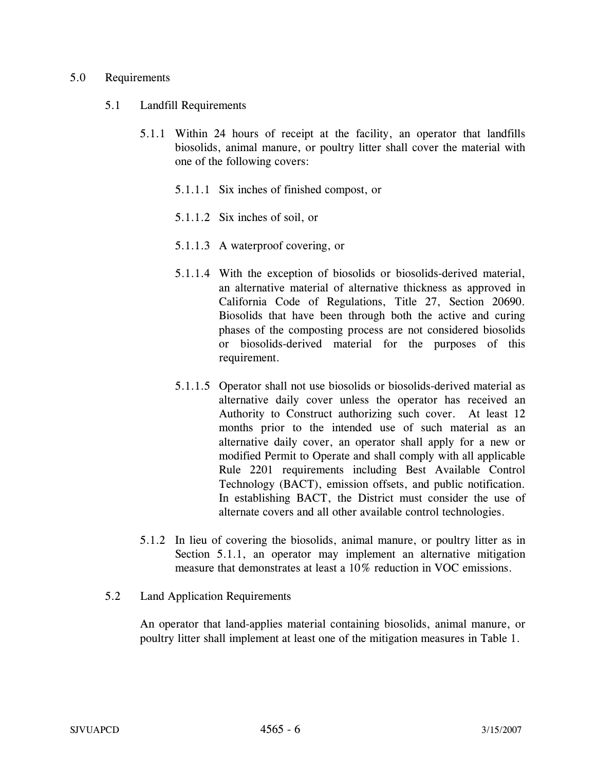#### 5.0 Requirements

- 5.1 Landfill Requirements
	- 5.1.1 Within 24 hours of receipt at the facility, an operator that landfills biosolids, animal manure, or poultry litter shall cover the material with one of the following covers:
		- 5.1.1.1 Six inches of finished compost, or
		- 5.1.1.2 Six inches of soil, or
		- 5.1.1.3 A waterproof covering, or
		- 5.1.1.4 With the exception of biosolids or biosolids-derived material, an alternative material of alternative thickness as approved in California Code of Regulations, Title 27, Section 20690. Biosolids that have been through both the active and curing phases of the composting process are not considered biosolids or biosolids-derived material for the purposes of this requirement.
		- 5.1.1.5 Operator shall not use biosolids or biosolids-derived material as alternative daily cover unless the operator has received an Authority to Construct authorizing such cover. At least 12 months prior to the intended use of such material as an alternative daily cover, an operator shall apply for a new or modified Permit to Operate and shall comply with all applicable Rule 2201 requirements including Best Available Control Technology (BACT), emission offsets, and public notification. In establishing BACT, the District must consider the use of alternate covers and all other available control technologies.
	- 5.1.2 In lieu of covering the biosolids, animal manure, or poultry litter as in Section 5.1.1, an operator may implement an alternative mitigation measure that demonstrates at least a 10% reduction in VOC emissions.
- 5.2 Land Application Requirements

An operator that land-applies material containing biosolids, animal manure, or poultry litter shall implement at least one of the mitigation measures in Table 1.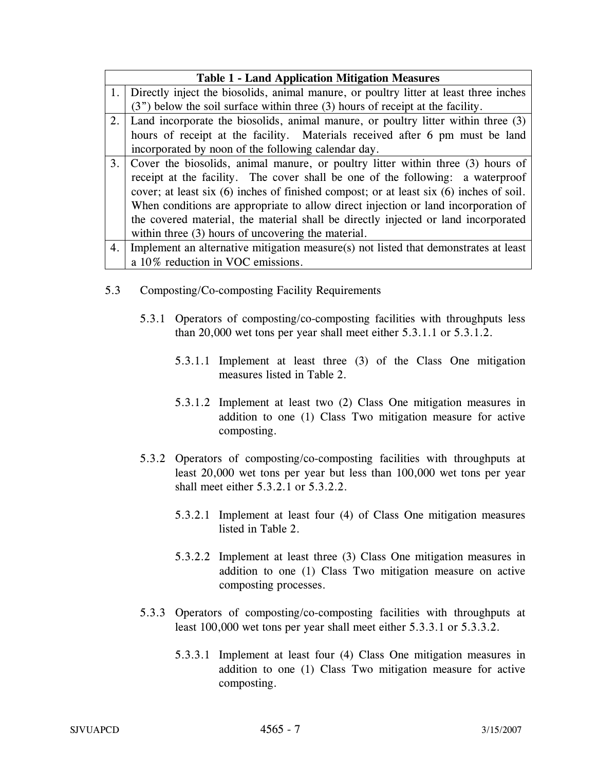| <b>Table 1 - Land Application Mitigation Measures</b> |                                                                                             |
|-------------------------------------------------------|---------------------------------------------------------------------------------------------|
| 1.                                                    | Directly inject the biosolids, animal manure, or poultry litter at least three inches       |
|                                                       | (3") below the soil surface within three (3) hours of receipt at the facility.              |
| 2.                                                    | Land incorporate the biosolids, animal manure, or poultry litter within three (3)           |
|                                                       | hours of receipt at the facility. Materials received after 6 pm must be land                |
|                                                       | incorporated by noon of the following calendar day.                                         |
| 3.                                                    | Cover the biosolids, animal manure, or poultry litter within three (3) hours of             |
|                                                       | receipt at the facility. The cover shall be one of the following: a waterproof              |
|                                                       | cover; at least six $(6)$ inches of finished compost; or at least six $(6)$ inches of soil. |
|                                                       | When conditions are appropriate to allow direct injection or land incorporation of          |
|                                                       | the covered material, the material shall be directly injected or land incorporated          |
|                                                       | within three (3) hours of uncovering the material.                                          |
| 4.                                                    | Implement an alternative mitigation measure(s) not listed that demonstrates at least        |
|                                                       | a 10% reduction in VOC emissions.                                                           |

- 5.3 Composting/Co-composting Facility Requirements
	- 5.3.1 Operators of composting/co-composting facilities with throughputs less than 20,000 wet tons per year shall meet either 5.3.1.1 or 5.3.1.2.
		- 5.3.1.1 Implement at least three (3) of the Class One mitigation measures listed in Table 2.
		- 5.3.1.2 Implement at least two (2) Class One mitigation measures in addition to one (1) Class Two mitigation measure for active composting.
	- 5.3.2 Operators of composting/co-composting facilities with throughputs at least 20,000 wet tons per year but less than 100,000 wet tons per year shall meet either 5.3.2.1 or 5.3.2.2.
		- 5.3.2.1 Implement at least four (4) of Class One mitigation measures listed in Table 2.
		- 5.3.2.2 Implement at least three (3) Class One mitigation measures in addition to one (1) Class Two mitigation measure on active composting processes.
	- 5.3.3 Operators of composting/co-composting facilities with throughputs at least 100,000 wet tons per year shall meet either 5.3.3.1 or 5.3.3.2.
		- 5.3.3.1 Implement at least four (4) Class One mitigation measures in addition to one (1) Class Two mitigation measure for active composting.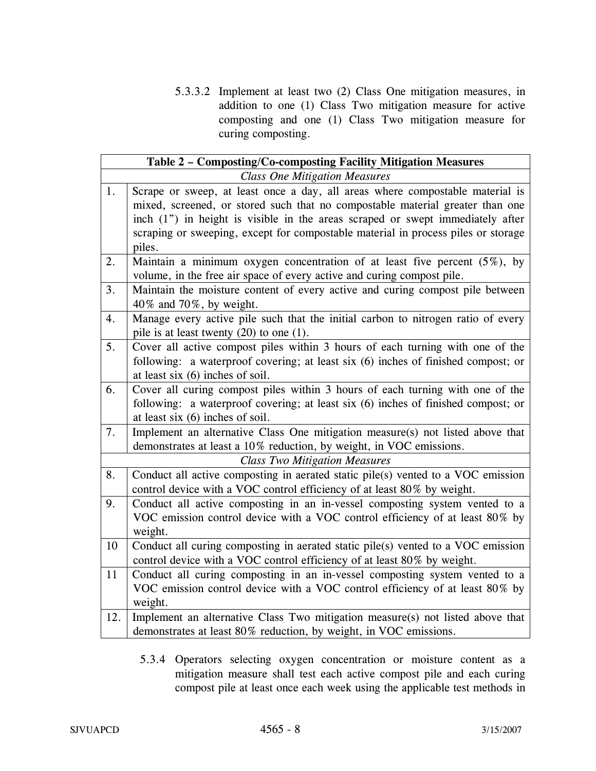5.3.3.2 Implement at least two (2) Class One mitigation measures, in addition to one (1) Class Two mitigation measure for active composting and one (1) Class Two mitigation measure for curing composting.

| Table 2 - Composting/Co-composting Facility Mitigation Measures |                                                                                   |  |
|-----------------------------------------------------------------|-----------------------------------------------------------------------------------|--|
| <b>Class One Mitigation Measures</b>                            |                                                                                   |  |
| 1.                                                              | Scrape or sweep, at least once a day, all areas where compostable material is     |  |
|                                                                 | mixed, screened, or stored such that no compostable material greater than one     |  |
|                                                                 | inch (1") in height is visible in the areas scraped or swept immediately after    |  |
|                                                                 | scraping or sweeping, except for compostable material in process piles or storage |  |
|                                                                 | piles.                                                                            |  |
| 2.                                                              | Maintain a minimum oxygen concentration of at least five percent $(5\%)$ , by     |  |
|                                                                 | volume, in the free air space of every active and curing compost pile.            |  |
| 3.                                                              | Maintain the moisture content of every active and curing compost pile between     |  |
|                                                                 | 40% and 70%, by weight.                                                           |  |
| 4.                                                              | Manage every active pile such that the initial carbon to nitrogen ratio of every  |  |
|                                                                 | pile is at least twenty $(20)$ to one $(1)$ .                                     |  |
| 5.                                                              | Cover all active compost piles within 3 hours of each turning with one of the     |  |
|                                                                 | following: a waterproof covering; at least six (6) inches of finished compost; or |  |
|                                                                 | at least six (6) inches of soil.                                                  |  |
| 6.                                                              | Cover all curing compost piles within 3 hours of each turning with one of the     |  |
|                                                                 | following: a waterproof covering; at least six (6) inches of finished compost; or |  |
|                                                                 | at least six $(6)$ inches of soil.                                                |  |
| 7.                                                              | Implement an alternative Class One mitigation measure(s) not listed above that    |  |
|                                                                 | demonstrates at least a 10% reduction, by weight, in VOC emissions.               |  |
| <b>Class Two Mitigation Measures</b>                            |                                                                                   |  |
| 8.                                                              | Conduct all active composting in aerated static pile(s) vented to a VOC emission  |  |
|                                                                 | control device with a VOC control efficiency of at least 80% by weight.           |  |
| 9.                                                              | Conduct all active composting in an in-vessel composting system vented to a       |  |
|                                                                 | VOC emission control device with a VOC control efficiency of at least 80% by      |  |
|                                                                 | weight.                                                                           |  |
| 10                                                              | Conduct all curing composting in aerated static pile(s) vented to a VOC emission  |  |
|                                                                 | control device with a VOC control efficiency of at least 80% by weight.           |  |
| 11                                                              | Conduct all curing composting in an in-vessel composting system vented to a       |  |
|                                                                 | VOC emission control device with a VOC control efficiency of at least 80% by      |  |
|                                                                 | weight.                                                                           |  |
| 12.                                                             | Implement an alternative Class Two mitigation measure(s) not listed above that    |  |
|                                                                 | demonstrates at least 80% reduction, by weight, in VOC emissions.                 |  |

5.3.4 Operators selecting oxygen concentration or moisture content as a mitigation measure shall test each active compost pile and each curing compost pile at least once each week using the applicable test methods in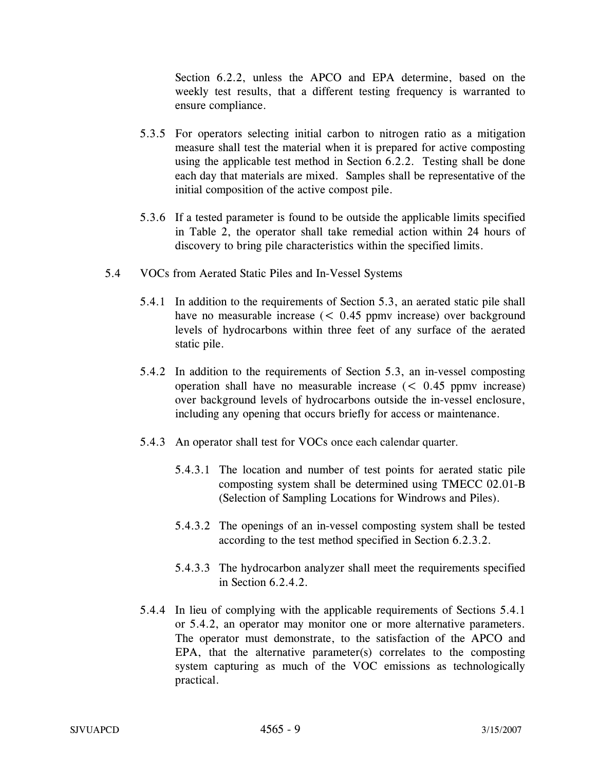Section 6.2.2, unless the APCO and EPA determine, based on the weekly test results, that a different testing frequency is warranted to ensure compliance.

- 5.3.5 For operators selecting initial carbon to nitrogen ratio as a mitigation measure shall test the material when it is prepared for active composting using the applicable test method in Section 6.2.2. Testing shall be done each day that materials are mixed. Samples shall be representative of the initial composition of the active compost pile.
- 5.3.6 If a tested parameter is found to be outside the applicable limits specified in Table 2, the operator shall take remedial action within 24 hours of discovery to bring pile characteristics within the specified limits.
- 5.4 VOCs from Aerated Static Piles and In-Vessel Systems
	- 5.4.1 In addition to the requirements of Section 5.3, an aerated static pile shall have no measurable increase (< 0.45 ppmv increase) over background levels of hydrocarbons within three feet of any surface of the aerated static pile.
	- 5.4.2 In addition to the requirements of Section 5.3, an in-vessel composting operation shall have no measurable increase (< 0.45 ppmv increase) over background levels of hydrocarbons outside the in-vessel enclosure, including any opening that occurs briefly for access or maintenance.
	- 5.4.3 An operator shall test for VOCs once each calendar quarter.
		- 5.4.3.1 The location and number of test points for aerated static pile composting system shall be determined using TMECC 02.01-B (Selection of Sampling Locations for Windrows and Piles).
		- 5.4.3.2 The openings of an in-vessel composting system shall be tested according to the test method specified in Section 6.2.3.2.
		- 5.4.3.3 The hydrocarbon analyzer shall meet the requirements specified in Section 6.2.4.2.
	- 5.4.4 In lieu of complying with the applicable requirements of Sections 5.4.1 or 5.4.2, an operator may monitor one or more alternative parameters. The operator must demonstrate, to the satisfaction of the APCO and EPA, that the alternative parameter(s) correlates to the composting system capturing as much of the VOC emissions as technologically practical.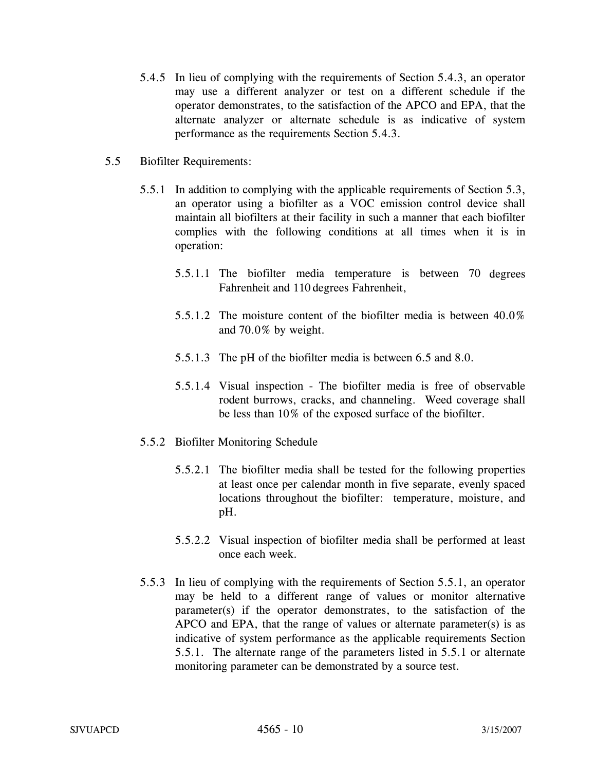- 5.4.5 In lieu of complying with the requirements of Section 5.4.3, an operator may use a different analyzer or test on a different schedule if the operator demonstrates, to the satisfaction of the APCO and EPA, that the alternate analyzer or alternate schedule is as indicative of system performance as the requirements Section 5.4.3.
- 5.5 Biofilter Requirements:
	- 5.5.1 In addition to complying with the applicable requirements of Section 5.3, an operator using a biofilter as a VOC emission control device shall maintain all biofilters at their facility in such a manner that each biofilter complies with the following conditions at all times when it is in operation:
		- 5.5.1.1 The biofilter media temperature is between 70 degrees Fahrenheit and 110 degrees Fahrenheit,
		- 5.5.1.2 The moisture content of the biofilter media is between 40.0% and 70.0% by weight.
		- 5.5.1.3 The pH of the biofilter media is between 6.5 and 8.0.
		- 5.5.1.4 Visual inspection The biofilter media is free of observable rodent burrows, cracks, and channeling. Weed coverage shall be less than 10% of the exposed surface of the biofilter.
	- 5.5.2 Biofilter Monitoring Schedule
		- 5.5.2.1 The biofilter media shall be tested for the following properties at least once per calendar month in five separate, evenly spaced locations throughout the biofilter: temperature, moisture, and pH.
		- 5.5.2.2 Visual inspection of biofilter media shall be performed at least once each week.
	- 5.5.3 In lieu of complying with the requirements of Section 5.5.1, an operator may be held to a different range of values or monitor alternative parameter(s) if the operator demonstrates, to the satisfaction of the APCO and EPA, that the range of values or alternate parameter(s) is as indicative of system performance as the applicable requirements Section 5.5.1. The alternate range of the parameters listed in 5.5.1 or alternate monitoring parameter can be demonstrated by a source test.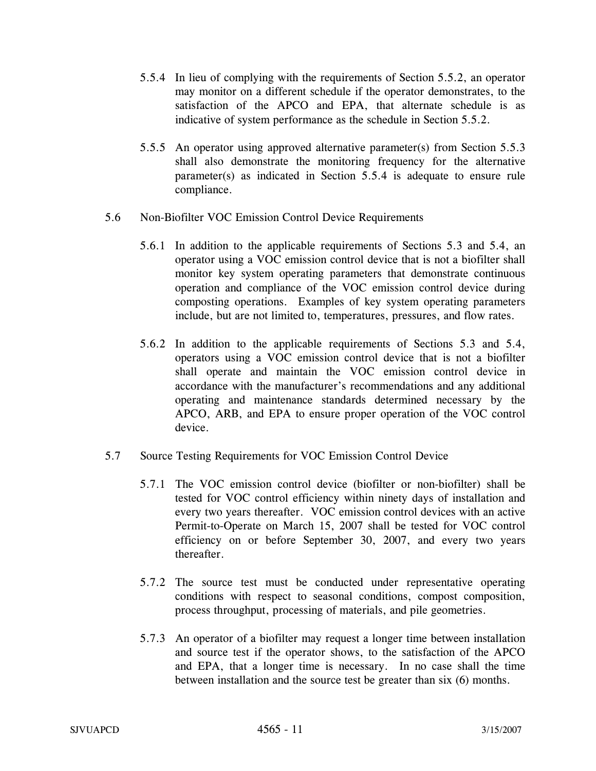- 5.5.4 In lieu of complying with the requirements of Section 5.5.2, an operator may monitor on a different schedule if the operator demonstrates, to the satisfaction of the APCO and EPA, that alternate schedule is as indicative of system performance as the schedule in Section 5.5.2.
- 5.5.5 An operator using approved alternative parameter(s) from Section 5.5.3 shall also demonstrate the monitoring frequency for the alternative parameter(s) as indicated in Section 5.5.4 is adequate to ensure rule compliance.
- 5.6 Non-Biofilter VOC Emission Control Device Requirements
	- 5.6.1 In addition to the applicable requirements of Sections 5.3 and 5.4, an operator using a VOC emission control device that is not a biofilter shall monitor key system operating parameters that demonstrate continuous operation and compliance of the VOC emission control device during composting operations. Examples of key system operating parameters include, but are not limited to, temperatures, pressures, and flow rates.
	- 5.6.2 In addition to the applicable requirements of Sections 5.3 and 5.4, operators using a VOC emission control device that is not a biofilter shall operate and maintain the VOC emission control device in accordance with the manufacturer's recommendations and any additional operating and maintenance standards determined necessary by the APCO, ARB, and EPA to ensure proper operation of the VOC control device.
- 5.7 Source Testing Requirements for VOC Emission Control Device
	- 5.7.1 The VOC emission control device (biofilter or non-biofilter) shall be tested for VOC control efficiency within ninety days of installation and every two years thereafter. VOC emission control devices with an active Permit-to-Operate on March 15, 2007 shall be tested for VOC control efficiency on or before September 30, 2007, and every two years thereafter.
	- 5.7.2 The source test must be conducted under representative operating conditions with respect to seasonal conditions, compost composition, process throughput, processing of materials, and pile geometries.
	- 5.7.3 An operator of a biofilter may request a longer time between installation and source test if the operator shows, to the satisfaction of the APCO and EPA, that a longer time is necessary. In no case shall the time between installation and the source test be greater than six (6) months.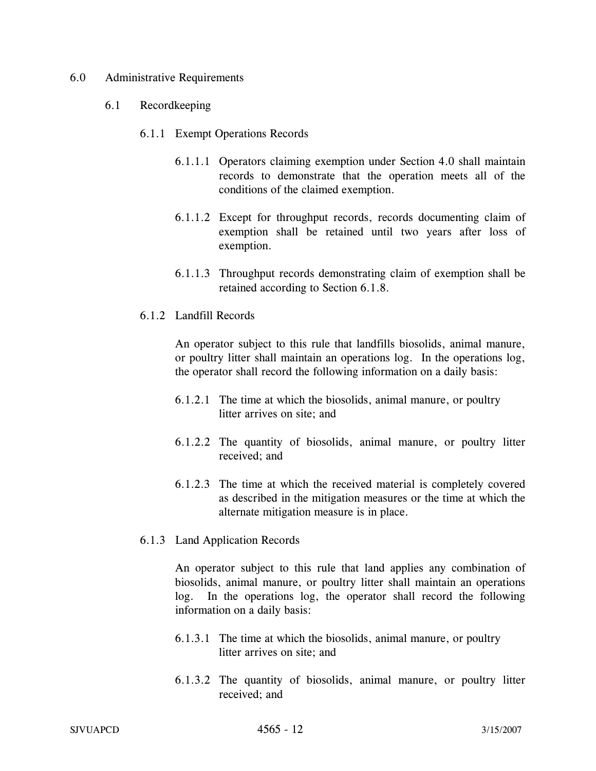#### 6.0 Administrative Requirements

#### 6.1 Recordkeeping

- 6.1.1 Exempt Operations Records
	- 6.1.1.1 Operators claiming exemption under Section 4.0 shall maintain records to demonstrate that the operation meets all of the conditions of the claimed exemption.
	- 6.1.1.2 Except for throughput records, records documenting claim of exemption shall be retained until two years after loss of exemption.
	- 6.1.1.3 Throughput records demonstrating claim of exemption shall be retained according to Section 6.1.8.
- 6.1.2 Landfill Records

An operator subject to this rule that landfills biosolids, animal manure, or poultry litter shall maintain an operations log. In the operations log, the operator shall record the following information on a daily basis:

- 6.1.2.1 The time at which the biosolids, animal manure, or poultry litter arrives on site; and
- 6.1.2.2 The quantity of biosolids, animal manure, or poultry litter received; and
- 6.1.2.3 The time at which the received material is completely covered as described in the mitigation measures or the time at which the alternate mitigation measure is in place.
- 6.1.3 Land Application Records

An operator subject to this rule that land applies any combination of biosolids, animal manure, or poultry litter shall maintain an operations log. In the operations log, the operator shall record the following information on a daily basis:

- 6.1.3.1 The time at which the biosolids, animal manure, or poultry litter arrives on site; and
- 6.1.3.2 The quantity of biosolids, animal manure, or poultry litter received; and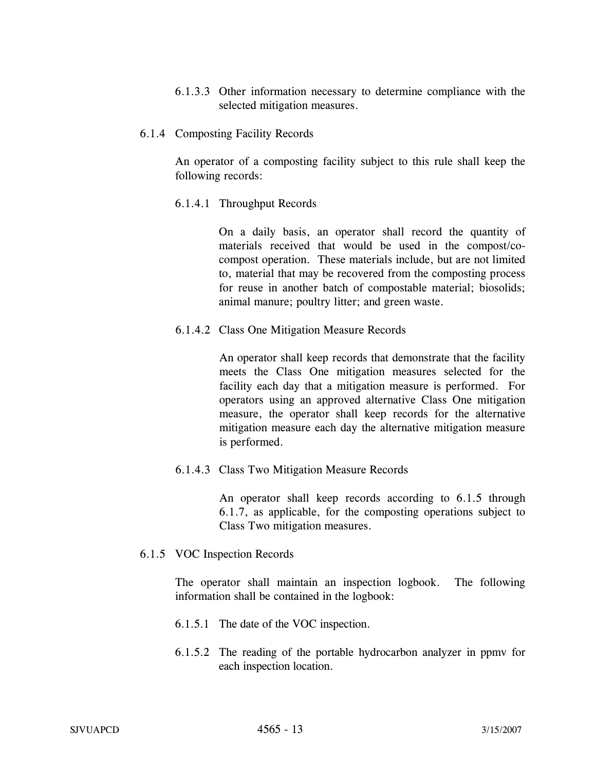6.1.3.3 Other information necessary to determine compliance with the selected mitigation measures.

#### 6.1.4 Composting Facility Records

An operator of a composting facility subject to this rule shall keep the following records:

6.1.4.1 Throughput Records

On a daily basis, an operator shall record the quantity of materials received that would be used in the compost/cocompost operation. These materials include, but are not limited to, material that may be recovered from the composting process for reuse in another batch of compostable material; biosolids; animal manure; poultry litter; and green waste.

6.1.4.2 Class One Mitigation Measure Records

An operator shall keep records that demonstrate that the facility meets the Class One mitigation measures selected for the facility each day that a mitigation measure is performed. For operators using an approved alternative Class One mitigation measure, the operator shall keep records for the alternative mitigation measure each day the alternative mitigation measure is performed.

6.1.4.3 Class Two Mitigation Measure Records

An operator shall keep records according to 6.1.5 through 6.1.7, as applicable, for the composting operations subject to Class Two mitigation measures.

6.1.5 VOC Inspection Records

The operator shall maintain an inspection logbook. The following information shall be contained in the logbook:

- 6.1.5.1 The date of the VOC inspection.
- 6.1.5.2 The reading of the portable hydrocarbon analyzer in ppmv for each inspection location.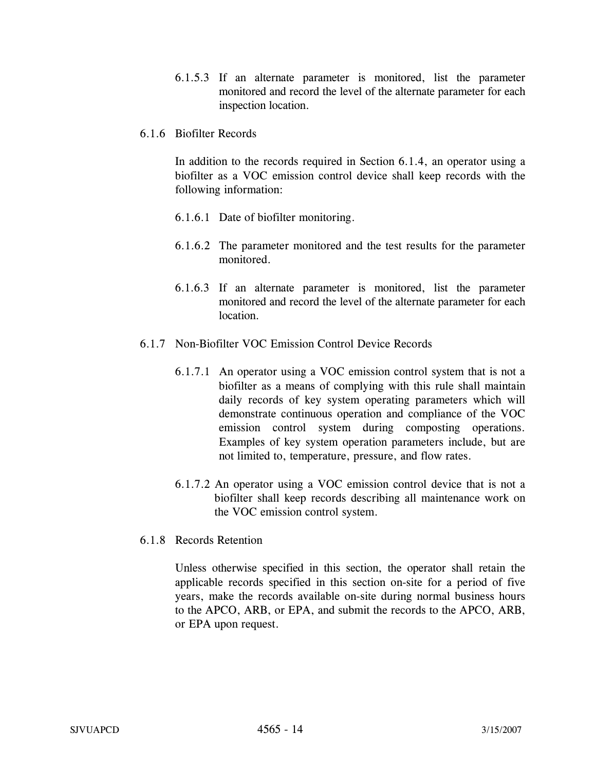- 6.1.5.3 If an alternate parameter is monitored, list the parameter monitored and record the level of the alternate parameter for each inspection location.
- 6.1.6 Biofilter Records

In addition to the records required in Section 6.1.4, an operator using a biofilter as a VOC emission control device shall keep records with the following information:

- 6.1.6.1 Date of biofilter monitoring.
- 6.1.6.2 The parameter monitored and the test results for the parameter monitored.
- 6.1.6.3 If an alternate parameter is monitored, list the parameter monitored and record the level of the alternate parameter for each location.
- 6.1.7 Non-Biofilter VOC Emission Control Device Records
	- 6.1.7.1 An operator using a VOC emission control system that is not a biofilter as a means of complying with this rule shall maintain daily records of key system operating parameters which will demonstrate continuous operation and compliance of the VOC emission control system during composting operations. Examples of key system operation parameters include, but are not limited to, temperature, pressure, and flow rates.
	- 6.1.7.2 An operator using a VOC emission control device that is not a biofilter shall keep records describing all maintenance work on the VOC emission control system.
- 6.1.8 Records Retention

Unless otherwise specified in this section, the operator shall retain the applicable records specified in this section on-site for a period of five years, make the records available on-site during normal business hours to the APCO, ARB, or EPA, and submit the records to the APCO, ARB, or EPA upon request.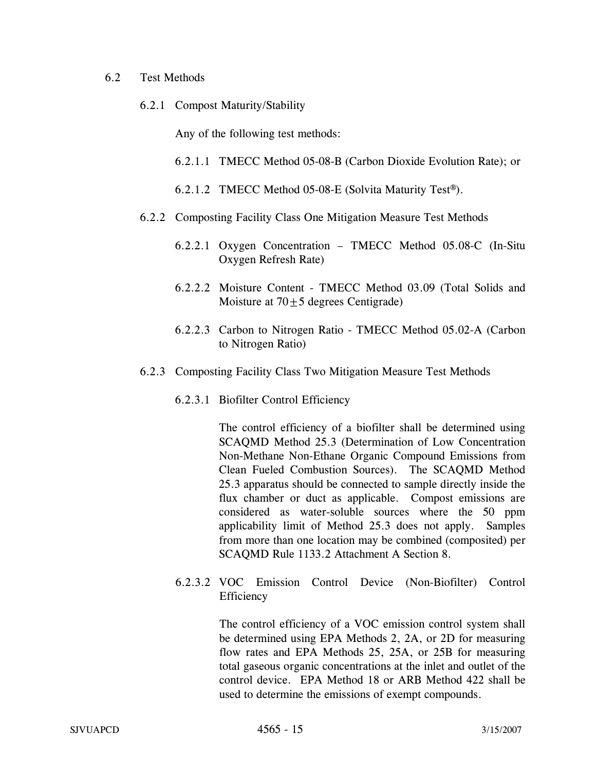#### 6.2 Test Methods

6.2.1 Compost Maturity/Stability

Any of the following test methods:

- 6.2.1.1 TMECC Method 05-08-B (Carbon Dioxide Evolution Rate); or
- 6.2.1.2 TMECC Method 05-08-E (Solvita Maturity Test®).
- 6.2.2 Composting Facility Class One Mitigation Measure Test Methods
	- 6.2.2.1 Oxygen Concentration TMECC Method 05.08-C (In-Situ Oxygen Refresh Rate)
	- 6.2.2.2 Moisture Content TMECC Method 03.09 (Total Solids and Moisture at  $70 \pm 5$  degrees Centigrade)
	- 6.2.2.3 Carbon to Nitrogen Ratio TMECC Method 05.02-A (Carbon to Nitrogen Ratio)
- 6.2.3 Composting Facility Class Two Mitigation Measure Test Methods
	- 6.2.3.1 Biofilter Control Efficiency

The control efficiency of a biofilter shall be determined using SCAQMD Method 25.3 (Determination of Low Concentration Non-Methane Non-Ethane Organic Compound Emissions from Clean Fueled Combustion Sources). The SCAQMD Method 25.3 apparatus should be connected to sample directly inside the flux chamber or duct as applicable. Compost emissions are considered as water-soluble sources where the 50 ppm applicability limit of Method 25.3 does not apply. Samples from more than one location may be combined (composited) per SCAQMD Rule 1133.2 Attachment A Section 8.

6.2.3.2 VOC Emission Control Device (Non-Biofilter) Control Efficiency

> The control efficiency of a VOC emission control system shall be determined using EPA Methods 2, 2A, or 2D for measuring flow rates and EPA Methods 25, 25A, or 25B for measuring total gaseous organic concentrations at the inlet and outlet of the control device. EPA Method 18 or ARB Method 422 shall be used to determine the emissions of exempt compounds.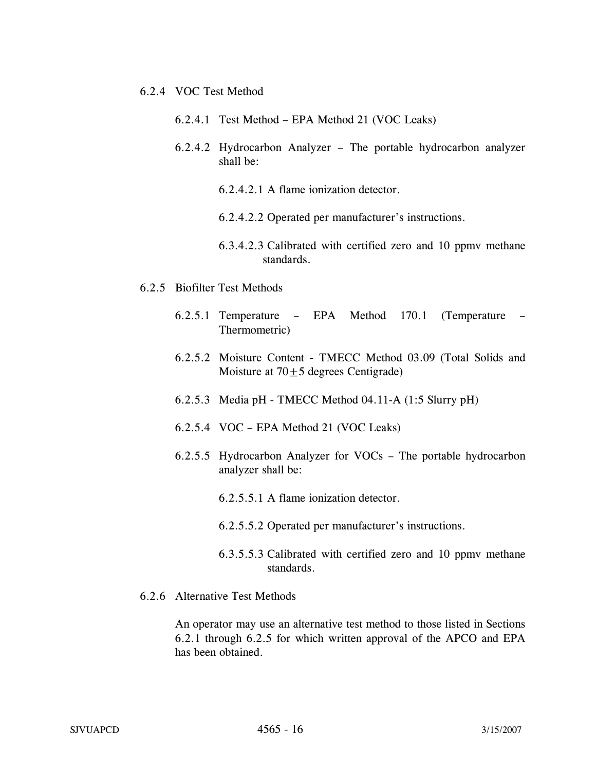- 6.2.4 VOC Test Method
	- 6.2.4.1 Test Method EPA Method 21 (VOC Leaks)
	- 6.2.4.2 Hydrocarbon Analyzer The portable hydrocarbon analyzer shall be:
		- 6.2.4.2.1 A flame ionization detector.
		- 6.2.4.2.2 Operated per manufacturer's instructions.
		- 6.3.4.2.3 Calibrated with certified zero and 10 ppmv methane standards.
- 6.2.5 Biofilter Test Methods
	- 6.2.5.1 Temperature EPA Method 170.1 (Temperature Thermometric)
	- 6.2.5.2 Moisture Content TMECC Method 03.09 (Total Solids and Moisture at  $70 \pm 5$  degrees Centigrade)
	- 6.2.5.3 Media pH TMECC Method 04.11-A (1:5 Slurry pH)
	- 6.2.5.4 VOC EPA Method 21 (VOC Leaks)
	- 6.2.5.5 Hydrocarbon Analyzer for VOCs The portable hydrocarbon analyzer shall be:
		- 6.2.5.5.1 A flame ionization detector.
		- 6.2.5.5.2 Operated per manufacturer's instructions.
		- 6.3.5.5.3 Calibrated with certified zero and 10 ppmv methane standards.
- 6.2.6 Alternative Test Methods

An operator may use an alternative test method to those listed in Sections 6.2.1 through 6.2.5 for which written approval of the APCO and EPA has been obtained.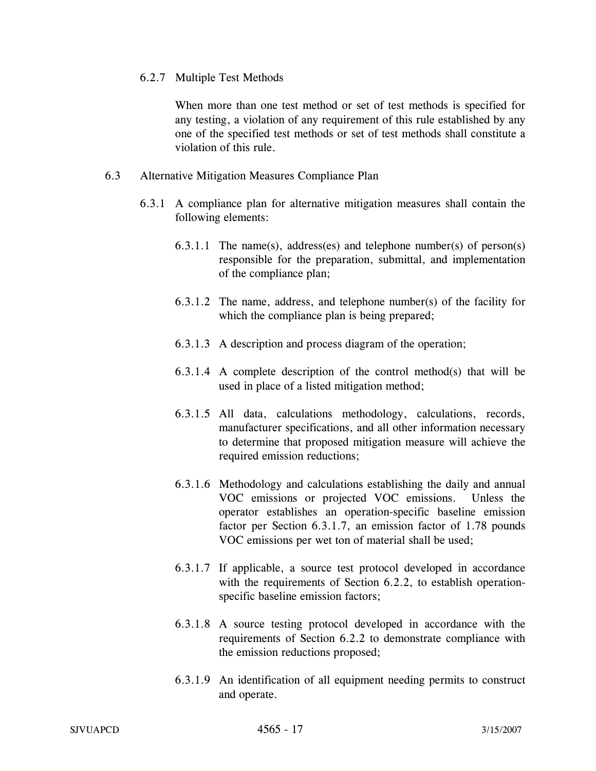## 6.2.7 Multiple Test Methods

When more than one test method or set of test methods is specified for any testing, a violation of any requirement of this rule established by any one of the specified test methods or set of test methods shall constitute a violation of this rule.

## 6.3 Alternative Mitigation Measures Compliance Plan

- 6.3.1 A compliance plan for alternative mitigation measures shall contain the following elements:
	- 6.3.1.1 The name(s), address(es) and telephone number(s) of person(s) responsible for the preparation, submittal, and implementation of the compliance plan;
	- 6.3.1.2 The name, address, and telephone number(s) of the facility for which the compliance plan is being prepared;
	- 6.3.1.3 A description and process diagram of the operation;
	- 6.3.1.4 A complete description of the control method(s) that will be used in place of a listed mitigation method;
	- 6.3.1.5 All data, calculations methodology, calculations, records, manufacturer specifications, and all other information necessary to determine that proposed mitigation measure will achieve the required emission reductions;
	- 6.3.1.6 Methodology and calculations establishing the daily and annual VOC emissions or projected VOC emissions. Unless the operator establishes an operation-specific baseline emission factor per Section 6.3.1.7, an emission factor of 1.78 pounds VOC emissions per wet ton of material shall be used;
	- 6.3.1.7 If applicable, a source test protocol developed in accordance with the requirements of Section 6.2.2, to establish operationspecific baseline emission factors;
	- 6.3.1.8 A source testing protocol developed in accordance with the requirements of Section 6.2.2 to demonstrate compliance with the emission reductions proposed;
	- 6.3.1.9 An identification of all equipment needing permits to construct and operate.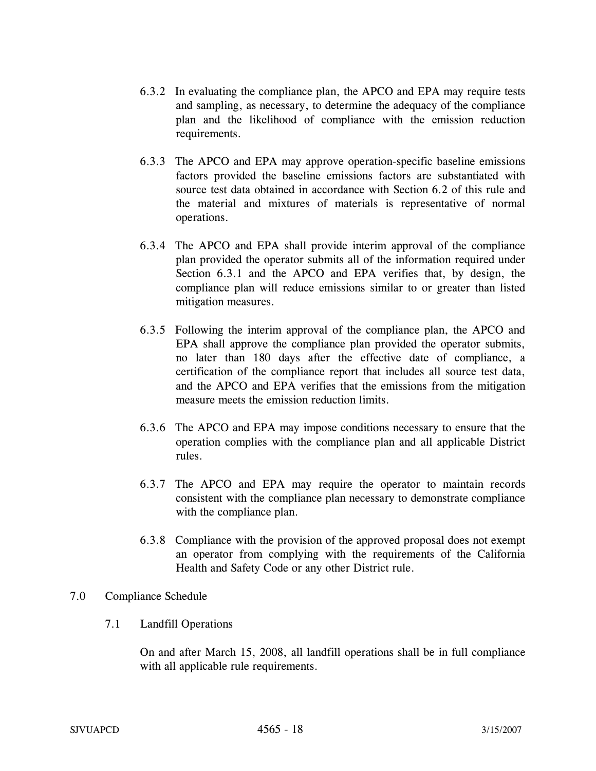- 6.3.2 In evaluating the compliance plan, the APCO and EPA may require tests and sampling, as necessary, to determine the adequacy of the compliance plan and the likelihood of compliance with the emission reduction requirements.
- 6.3.3 The APCO and EPA may approve operation-specific baseline emissions factors provided the baseline emissions factors are substantiated with source test data obtained in accordance with Section 6.2 of this rule and the material and mixtures of materials is representative of normal operations.
- 6.3.4 The APCO and EPA shall provide interim approval of the compliance plan provided the operator submits all of the information required under Section 6.3.1 and the APCO and EPA verifies that, by design, the compliance plan will reduce emissions similar to or greater than listed mitigation measures.
- 6.3.5 Following the interim approval of the compliance plan, the APCO and EPA shall approve the compliance plan provided the operator submits, no later than 180 days after the effective date of compliance, a certification of the compliance report that includes all source test data, and the APCO and EPA verifies that the emissions from the mitigation measure meets the emission reduction limits.
- 6.3.6 The APCO and EPA may impose conditions necessary to ensure that the operation complies with the compliance plan and all applicable District rules.
- 6.3.7 The APCO and EPA may require the operator to maintain records consistent with the compliance plan necessary to demonstrate compliance with the compliance plan.
- 6.3.8 Compliance with the provision of the approved proposal does not exempt an operator from complying with the requirements of the California Health and Safety Code or any other District rule.

### 7.0 Compliance Schedule

7.1 Landfill Operations

On and after March 15, 2008, all landfill operations shall be in full compliance with all applicable rule requirements.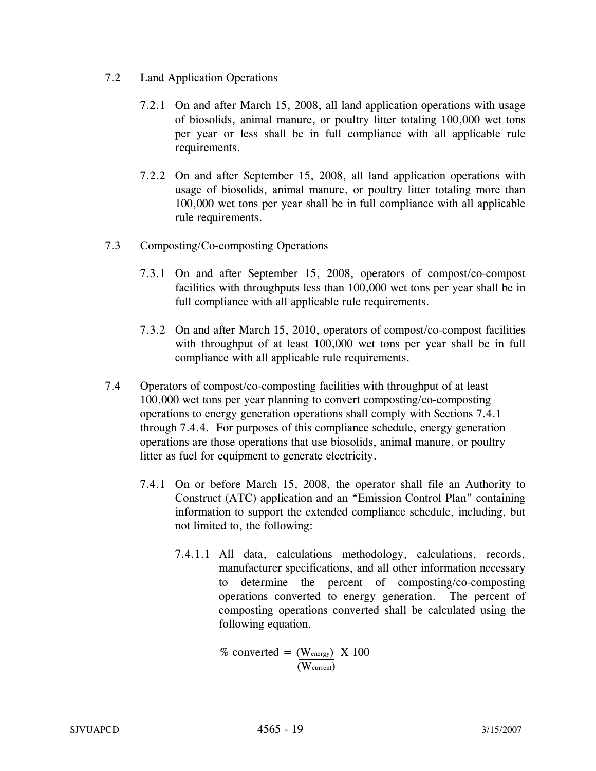- 7.2 Land Application Operations
	- 7.2.1 On and after March 15, 2008, all land application operations with usage of biosolids, animal manure, or poultry litter totaling 100,000 wet tons per year or less shall be in full compliance with all applicable rule requirements.
	- 7.2.2 On and after September 15, 2008, all land application operations with usage of biosolids, animal manure, or poultry litter totaling more than 100,000 wet tons per year shall be in full compliance with all applicable rule requirements.
- 7.3 Composting/Co-composting Operations
	- 7.3.1 On and after September 15, 2008, operators of compost/co-compost facilities with throughputs less than 100,000 wet tons per year shall be in full compliance with all applicable rule requirements.
	- 7.3.2 On and after March 15, 2010, operators of compost/co-compost facilities with throughput of at least 100,000 wet tons per year shall be in full compliance with all applicable rule requirements.
- 7.4 Operators of compost/co-composting facilities with throughput of at least 100,000 wet tons per year planning to convert composting/co-composting operations to energy generation operations shall comply with Sections 7.4.1 through 7.4.4. For purposes of this compliance schedule, energy generation operations are those operations that use biosolids, animal manure, or poultry litter as fuel for equipment to generate electricity.
	- 7.4.1 On or before March 15, 2008, the operator shall file an Authority to Construct (ATC) application and an "Emission Control Plan" containing information to support the extended compliance schedule, including, but not limited to, the following:
		- 7.4.1.1 All data, calculations methodology, calculations, records, manufacturer specifications, and all other information necessary to determine the percent of composting/co-composting operations converted to energy generation. The percent of composting operations converted shall be calculated using the following equation.

% converted = 
$$
\frac{(\text{W_{energy}})}{(\text{W_{current}})}
$$
 X 100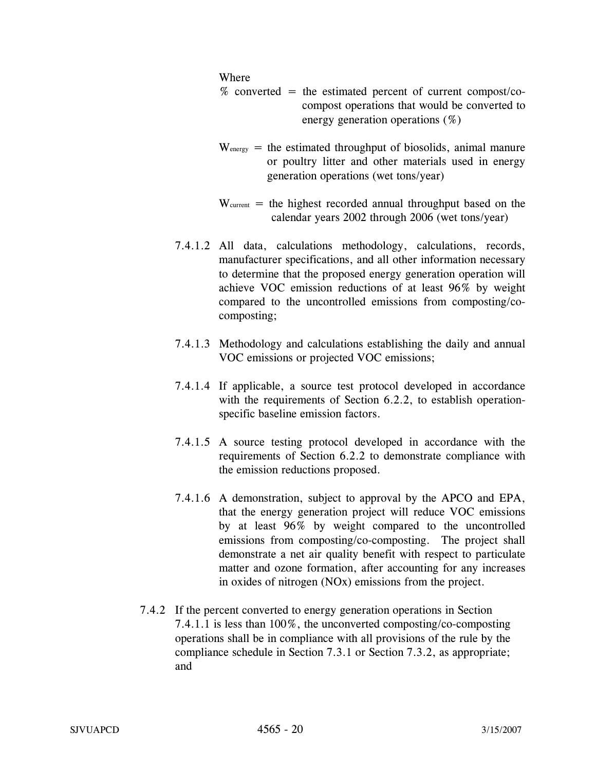#### Where

- $%$  converted = the estimated percent of current compost/cocompost operations that would be converted to energy generation operations (%)
- $W_{\text{energy}}$  = the estimated throughput of biosolids, animal manure or poultry litter and other materials used in energy generation operations (wet tons/year)
- $W<sub>current</sub>$  = the highest recorded annual throughput based on the calendar years 2002 through 2006 (wet tons/year)
- 7.4.1.2 All data, calculations methodology, calculations, records, manufacturer specifications, and all other information necessary to determine that the proposed energy generation operation will achieve VOC emission reductions of at least 96% by weight compared to the uncontrolled emissions from composting/cocomposting;
- 7.4.1.3 Methodology and calculations establishing the daily and annual VOC emissions or projected VOC emissions;
- 7.4.1.4 If applicable, a source test protocol developed in accordance with the requirements of Section 6.2.2, to establish operationspecific baseline emission factors.
- 7.4.1.5 A source testing protocol developed in accordance with the requirements of Section 6.2.2 to demonstrate compliance with the emission reductions proposed.
- 7.4.1.6 A demonstration, subject to approval by the APCO and EPA, that the energy generation project will reduce VOC emissions by at least 96% by weight compared to the uncontrolled emissions from composting/co-composting. The project shall demonstrate a net air quality benefit with respect to particulate matter and ozone formation, after accounting for any increases in oxides of nitrogen (NOx) emissions from the project.
- 7.4.2 If the percent converted to energy generation operations in Section 7.4.1.1 is less than 100%, the unconverted composting/co-composting operations shall be in compliance with all provisions of the rule by the compliance schedule in Section 7.3.1 or Section 7.3.2, as appropriate; and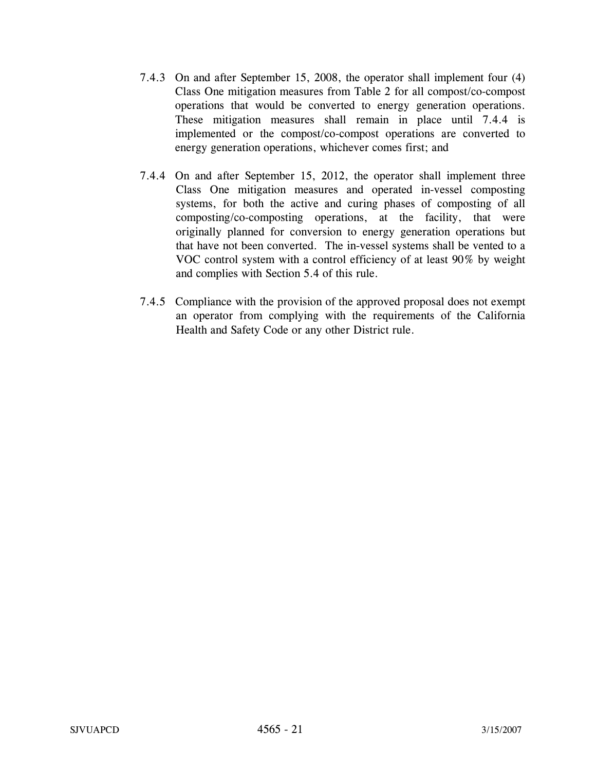- 7.4.3 On and after September 15, 2008, the operator shall implement four (4) Class One mitigation measures from Table 2 for all compost/co-compost operations that would be converted to energy generation operations. These mitigation measures shall remain in place until 7.4.4 is implemented or the compost/co-compost operations are converted to energy generation operations, whichever comes first; and
- 7.4.4 On and after September 15, 2012, the operator shall implement three Class One mitigation measures and operated in-vessel composting systems, for both the active and curing phases of composting of all composting/co-composting operations, at the facility, that were originally planned for conversion to energy generation operations but that have not been converted. The in-vessel systems shall be vented to a VOC control system with a control efficiency of at least 90% by weight and complies with Section 5.4 of this rule.
- 7.4.5 Compliance with the provision of the approved proposal does not exempt an operator from complying with the requirements of the California Health and Safety Code or any other District rule.